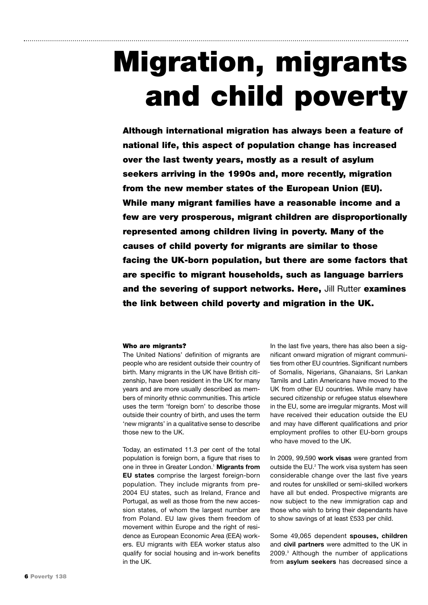# Migration, migrants and child poverty

Although international migration has always been a feature of national life, this aspect of population change has increased over the last twenty years, mostly as a result of asylum seekers arriving in the 1990s and, more recently, migration from the new member states of the European Union (EU). While many migrant families have a reasonable income and a few are very prosperous, migrant children are disproportionally represented among children living in poverty. Many of the causes of child poverty for migrants are similar to those facing the UK-born population, but there are some factors that are specific to migrant households, such as language barriers and the severing of support networks. Here, Jill Rutter examines the link between child poverty and migration in the UK.

#### Who are migrants?

The United Nations' definition of migrants are people who are resident outside their country of birth. Many migrants in the UK have British citizenship, have been resident in the UK for many years and are more usually described as members of minority ethnic communities. This article uses the term 'foreign born' to describe those outside their country of birth, and uses the term 'new migrants' in a qualitative sense to describe those new to the UK.

Today, an estimated 11.3 per cent of the total population is foreign born, a figure that rises to one in three in Greater London.1 **Migrants from EU states** comprise the largest foreign-born population. They include migrants from pre-2004 EU states, such as Ireland, France and Portugal, as well as those from the new accession states, of whom the largest number are from Poland. EU law gives them freedom of movement within Europe and the right of residence as European Economic Area (EEA) workers. EU migrants with EEA worker status also qualify for social housing and in-work benefits in the UK.

In the last five years, there has also been a significant onward migration of migrant communities from other EU countries. Significant numbers of Somalis, Nigerians, Ghanaians, Sri Lankan Tamils and Latin Americans have moved to the UK from other EU countries. While many have secured citizenship or refugee status elsewhere in the EU, some are irregular migrants. Most will have received their education outside the EU and may have different qualifications and prior employment profiles to other EU-born groups who have moved to the UK.

In 2009, 99,590 **work visas** were granted from outside the EU.<sup>2</sup> The work visa system has seen considerable change over the last five years and routes for unskilled or semi-skilled workers have all but ended. Prospective migrants are now subject to the new immigration cap and those who wish to bring their dependants have to show savings of at least £533 per child.

Some 49,065 dependent **spouses, children** and **civil partners** were admitted to the UK in 2009.3 Although the number of applications from **asylum seekers** has decreased since a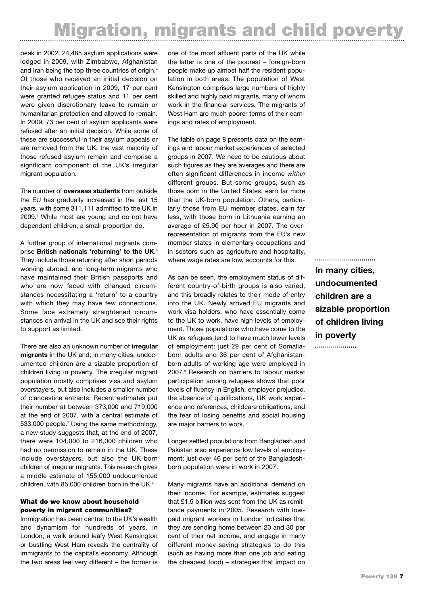# Migration, migrants and child poverty

peak in 2002, 24,485 asylum applications were lodged in 2009, with Zimbabwe, Afghanistan and Iran being the top three countries of origin.<sup>4</sup> Of those who received an initial decision on their asylum application in 2009, 17 per cent were granted refugee status and 11 per cent were given discretionary leave to remain or humanitarian protection and allowed to remain. In 2009, 73 per cent of asylum applicants were refused after an initial decision. While some of these are successful in their asylum appeals or are removed from the UK, the vast majority of those refused asylum remain and comprise a significant component of the UK's irregular migrant population.

The number of **overseas students** from outside the EU has gradually increased in the last 15 years, with some 311,111 admitted to the UK in 2009.5 While most are young and do not have dependent children, a small proportion do.

A further group of international migrants comprise **British nationals 'returning' to the UK**. 6 They include those returning after short periods working abroad, and long-term migrants who have maintained their British passports and who are now faced with changed circumstances necessitating a 'return' to a country with which they may have few connections. Some face extremely straightened circumstances on arrival in the UK and see their rights to support as limited.

There are also an unknown number of **irregular migrants** in the UK and, in many cities, undocumented children are a sizable proportion of children living in poverty. The irregular migrant population mostly comprises visa and asylum overstayers, but also includes a smaller number of clandestine entrants. Recent estimates put their number at between 373,000 and 719,000 at the end of 2007, with a central estimate of 533,000 people.<sup>7</sup> Using the same methodology. a new study suggests that, at the end of 2007, there were 104,000 to 216,000 children who had no permission to remain in the UK. These include overstayers, but also the UK-born children of irregular migrants. This research gives a middle estimate of 155,000 undocumented children, with 85,000 children born in the UK.<sup>8</sup>

### What do we know about household poverty in migrant communities?

Immigration has been central to the UK's wealth and dynamism for hundreds of years. In London, a walk around leafy West Kensington or bustling West Ham reveals the centrality of immigrants to the capital's economy. Although the two areas feel very different – the former is

one of the most affluent parts of the UK while the latter is one of the poorest – foreign-born people make up almost half the resident population in both areas. The population of West Kensington comprises large numbers of highly skilled and highly paid migrants, many of whom work in the financial services. The migrants of West Ham are much poorer terms of their earnings and rates of employment.

The table on page 8 presents data on the earnings and labour market experiences of selected groups in 2007. We need to be cautious about such figures as they are averages and there are often significant differences in income *within* different groups. But some groups, such as those born in the United States, earn far more than the UK-born population. Others, particularly those from EU member states, earn far less, with those born in Lithuania earning an average of £5.90 per hour in 2007. The overrepresentation of migrants from the EU's new member states in elementary occupations and in sectors such as agriculture and hospitality, where wage rates are low, accounts for this.

As can be seen, the employment status of different country-of-birth groups is also varied, and this broadly relates to their mode of entry into the UK. Newly arrived EU migrants and work visa holders, who have essentially come to the UK to work, have high levels of employment. Those populations who have come to the UK as refugees tend to have much lower levels of employment: just 29 per cent of Somaliaborn adults and 36 per cent of Afghanistanborn adults of working age were employed in 2007.9 Research on barriers to labour market participation among refugees shows that poor levels of fluency in English, employer prejudice, the absence of qualifications, UK work experience and references, childcare obligations, and the fear of losing benefits and social housing are major barriers to work.

Longer settled populations from Bangladesh and Pakistan also experience low levels of employment: just over 46 per cent of the Bangladeshborn population were in work in 2007.

Many migrants have an additional demand on their income. For example, estimates suggest that £1.5 billion was sent from the UK as remittance payments in 2005. Research with lowpaid migrant workers in London indicates that they are sending home between 20 and 30 per cent of their net income, and engage in many different money-saving strategies to do this (such as having more than one job and eating the cheapest food) – strategies that impact on

**In many cities, undocumented children are a sizable proportion of children living in poverty**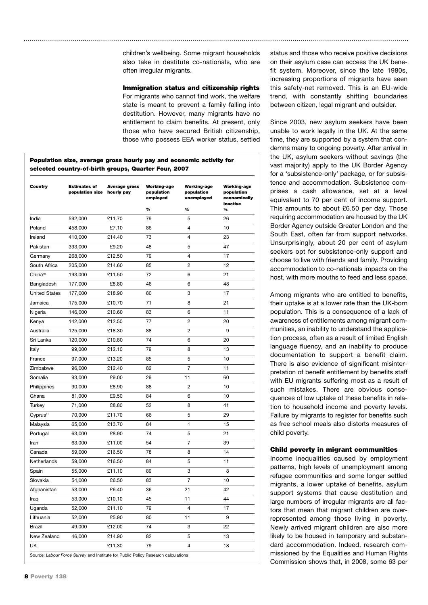children's wellbeing. Some migrant households also take in destitute co-nationals, who are often irregular migrants.

#### Immigration status and citizenship rights

For migrants who cannot find work, the welfare state is meant to prevent a family falling into destitution. However, many migrants have no entitlement to claim benefits. At present, only those who have secured British citizenship, those who possess EEA worker status, settled

### Population size, average gross hourly pay and economic activity for selected country-of-birth groups, Quarter Four, 2007

| Country                                                                           | <b>Estimates of</b><br>population size | Average gross<br>hourly pay | <b>Working-age</b><br>population<br>employed<br>% | <b>Working-age</b><br>population<br>unemployed<br>% | <b>Working-age</b><br>population<br>economically<br>inactive<br>% |
|-----------------------------------------------------------------------------------|----------------------------------------|-----------------------------|---------------------------------------------------|-----------------------------------------------------|-------------------------------------------------------------------|
| India                                                                             | 592,000                                | £11.70                      | 79                                                | 5                                                   | 26                                                                |
| Poland                                                                            | 458,000                                | £7.10                       | 86                                                | 4                                                   | 10                                                                |
| Ireland                                                                           | 410,000                                | £14.40                      | 73                                                | $\overline{\mathbf{4}}$                             | 23                                                                |
| Pakistan                                                                          | 393,000                                | £9.20                       | 48                                                | 5                                                   | 47                                                                |
| Germany                                                                           | 268,000                                | £12.50                      | 79                                                | 4                                                   | 17                                                                |
| South Africa                                                                      | 205,000                                | £14.60                      | 85                                                | 2                                                   | 12                                                                |
| China <sup>10</sup>                                                               | 193,000                                | £11.50                      | 72                                                | 6                                                   | 21                                                                |
| Bangladesh                                                                        | 177,000                                | £8.80                       | 46                                                | 6                                                   | 48                                                                |
| <b>United States</b>                                                              | 177,000                                | £18.90                      | 80                                                | 3                                                   | 17                                                                |
| Jamaica                                                                           | 175,000                                | £10.70                      | 71                                                | 8                                                   | 21                                                                |
| Nigeria                                                                           | 146,000                                | £10.60                      | 83                                                | 6                                                   | 11                                                                |
| Kenya                                                                             | 142,000                                | £12.50                      | 77                                                | 2                                                   | 20                                                                |
| Australia                                                                         | 125,000                                | £18.30                      | 88                                                | 2                                                   | 9                                                                 |
| Sri Lanka                                                                         | 120,000                                | £10.80                      | 74                                                | 6                                                   | 20                                                                |
| Italy                                                                             | 99,000                                 | £12.10                      | 79                                                | 8                                                   | 13                                                                |
| France                                                                            | 97,000                                 | £13.20                      | 85                                                | 5                                                   | 10                                                                |
| Zimbabwe                                                                          | 96,000                                 | £12.40                      | 82                                                | 7                                                   | 11                                                                |
| Somalia                                                                           | 93,000                                 | £9.00                       | 29                                                | 11                                                  | 60                                                                |
| Philippines                                                                       | 90,000                                 | £8.90                       | 88                                                | 2                                                   | 10                                                                |
| Ghana                                                                             | 81,000                                 | £9.50                       | 84                                                | 6                                                   | 10                                                                |
| Turkey                                                                            | 71,000                                 | £8.80                       | 52                                                | 8                                                   | 41                                                                |
| Cyprus <sup>11</sup>                                                              | 70,000                                 | £11.70                      | 66                                                | 5                                                   | 29                                                                |
| Malaysia                                                                          | 65,000                                 | £13.70                      | 84                                                | 1                                                   | 15                                                                |
| Portugal                                                                          | 63,000                                 | £8.90                       | 74                                                | 5                                                   | 21                                                                |
| Iran                                                                              | 63,000                                 | £11.00                      | 54                                                | 7                                                   | 39                                                                |
| Canada                                                                            | 59,000                                 | £16.50                      | 78                                                | 8                                                   | 14                                                                |
| Netherlands                                                                       | 59,000                                 | £16.50                      | 84                                                | 5                                                   | 11                                                                |
| Spain                                                                             | 55,000                                 | £11.10                      | 89                                                | 3                                                   | 8                                                                 |
| Slovakia                                                                          | 54,000                                 | £6.50                       | 83                                                | 7                                                   | 10                                                                |
| Afghanistan                                                                       | 53,000                                 | £6.40                       | 36                                                | 21                                                  | 42                                                                |
| Iraq                                                                              | 53,000                                 | £10.10                      | 45                                                | 11                                                  | 44                                                                |
| Uganda                                                                            | 52,000                                 | £11.10                      | 79                                                | 4                                                   | 17                                                                |
| Lithuania                                                                         | 52,000                                 | £5.90                       | 80                                                | 11                                                  | 9                                                                 |
| Brazil                                                                            | 49,000                                 | £12.00                      | 74                                                | 3                                                   | 22                                                                |
| New Zealand                                                                       | 46,000                                 | £14.90                      | 82                                                | 5                                                   | 13                                                                |
| UK                                                                                |                                        | £11.30                      | 79                                                | 4                                                   | 18                                                                |
| Source: Labour Force Survey and Institute for Public Policy Research calculations |                                        |                             |                                                   |                                                     |                                                                   |

status and those who receive positive decisions on their asylum case can access the UK benefit system. Moreover, since the late 1980s, increasing proportions of migrants have seen this safety-net removed. This is an EU-wide trend, with constantly shifting boundaries between citizen, legal migrant and outsider.

Since 2003, new asylum seekers have been unable to work legally in the UK. At the same time, they are supported by a system that condemns many to ongoing poverty. After arrival in the UK, asylum seekers without savings (the vast majority) apply to the UK Border Agency for a 'subsistence-only' package, or for subsistence and accommodation. Subsistence comprises a cash allowance, set at a level equivalent to 70 per cent of income support. This amounts to about £6.50 per day. Those requiring accommodation are housed by the UK Border Agency outside Greater London and the South East, often far from support networks. Unsurprisingly, about 20 per cent of asylum seekers opt for subsistence-only support and choose to live with friends and family. Providing accommodation to co-nationals impacts on the host, with more mouths to feed and less space.

Among migrants who are entitled to benefits, their uptake is at a lower rate than the UK-born population. This is a consequence of a lack of awareness of entitlements among migrant communities, an inability to understand the application process, often as a result of limited English language fluency, and an inability to produce documentation to support a benefit claim. There is also evidence of significant misinterpretation of benefit entitlement by benefits staff with EU migrants suffering most as a result of such mistakes. There are obvious consequences of low uptake of these benefits in relation to household income and poverty levels. Failure by migrants to register for benefits such as free school meals also distorts measures of child poverty.

#### Child poverty in migrant communities

Income inequalities caused by employment patterns, high levels of unemployment among refugee communities and some longer settled migrants, a lower uptake of benefits, asylum support systems that cause destitution and large numbers of irregular migrants are all factors that mean that migrant children are overrepresented among those living in poverty. Newly arrived migrant children are also more likely to be housed in temporary and substandard accommodation. Indeed, research commissioned by the Equalities and Human Rights Commission shows that, in 2008, some 63 per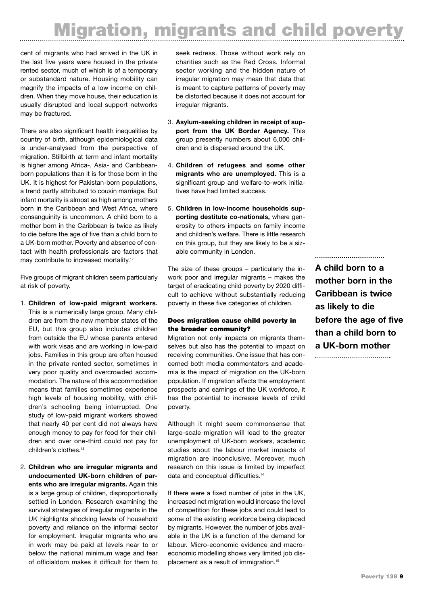# Migration, migrants and child poverty

cent of migrants who had arrived in the UK in the last five years were housed in the private rented sector, much of which is of a temporary or substandard nature. Housing mobility can magnify the impacts of a low income on children. When they move house, their education is usually disrupted and local support networks may be fractured.

There are also significant health inequalities by country of birth, although epidemiological data is under-analysed from the perspective of migration. Stillbirth at term and infant mortality is higher among Africa-, Asia- and Caribbeanborn populations than it is for those born in the UK. It is highest for Pakistan-born populations, a trend partly attributed to cousin marriage. But infant mortality is almost as high among mothers born in the Caribbean and West Africa, where consanguinity is uncommon. A child born to a mother born in the Caribbean is twice as likely to die before the age of five than a child born to a UK-born mother. Poverty and absence of contact with health professionals are factors that may contribute to increased mortality.<sup>12</sup>

Five groups of migrant children seem particularly at risk of poverty.

- 1. **Children of low-paid migrant workers.** This is a numerically large group. Many children are from the new member states of the EU, but this group also includes children from outside the EU whose parents entered with work visas and are working in low-paid jobs. Families in this group are often housed in the private rented sector, sometimes in very poor quality and overcrowded accommodation. The nature of this accommodation means that families sometimes experience high levels of housing mobility, with children's schooling being interrupted. One study of low-paid migrant workers showed that nearly 40 per cent did not always have enough money to pay for food for their children and over one-third could not pay for children's clothes.<sup>13</sup>
- 2. **Children who are irregular migrants and undocumented UK-born children of parents who are irregular migrants.** Again this is a large group of children, disproportionally settled in London. Research examining the survival strategies of irregular migrants in the UK highlights shocking levels of household poverty and reliance on the informal sector for employment. Irregular migrants who are in work may be paid at levels near to or below the national minimum wage and fear of officialdom makes it difficult for them to

seek redress. Those without work rely on charities such as the Red Cross. Informal sector working and the hidden nature of irregular migration may mean that data that is meant to capture patterns of poverty may be distorted because it does not account for irregular migrants.

- 3. **Asylum-seeking children in receipt of support from the UK Border Agency.** This group presently numbers about 6,000 children and is dispersed around the UK.
- 4. **Children of refugees and some other migrants who are unemployed.** This is a significant group and welfare-to-work initiatives have had limited success.
- 5. **Children in low-income households supporting destitute co-nationals,** where generosity to others impacts on family income and children's welfare. There is little research on this group, but they are likely to be a sizable community in London.

The size of these groups – particularly the inwork poor and irregular migrants – makes the target of eradicating child poverty by 2020 difficult to achieve without substantially reducing poverty in these five categories of children.

## Does migration cause child poverty in the broader community?

Migration not only impacts on migrants themselves but also has the potential to impact on receiving communities. One issue that has concerned both media commentators and academia is the impact of migration on the UK-born population. If migration affects the employment prospects and earnings of the UK workforce, it has the potential to increase levels of child poverty.

Although it might seem commonsense that large-scale migration will lead to the greater unemployment of UK-born workers, academic studies about the labour market impacts of migration are inconclusive. Moreover, much research on this issue is limited by imperfect data and conceptual difficulties.<sup>14</sup>

If there were a fixed number of jobs in the UK, increased net migration would increase the level of competition for these jobs and could lead to some of the existing workforce being displaced by migrants. However, the number of jobs available in the UK is a function of the demand for labour. Micro-economic evidence and macroeconomic modelling shows very limited job displacement as a result of immigration.<sup>15</sup>

**A child born to a mother born in the Caribbean is twice as likely to die before the age of five than a child born to a UK-born mother** ...................................